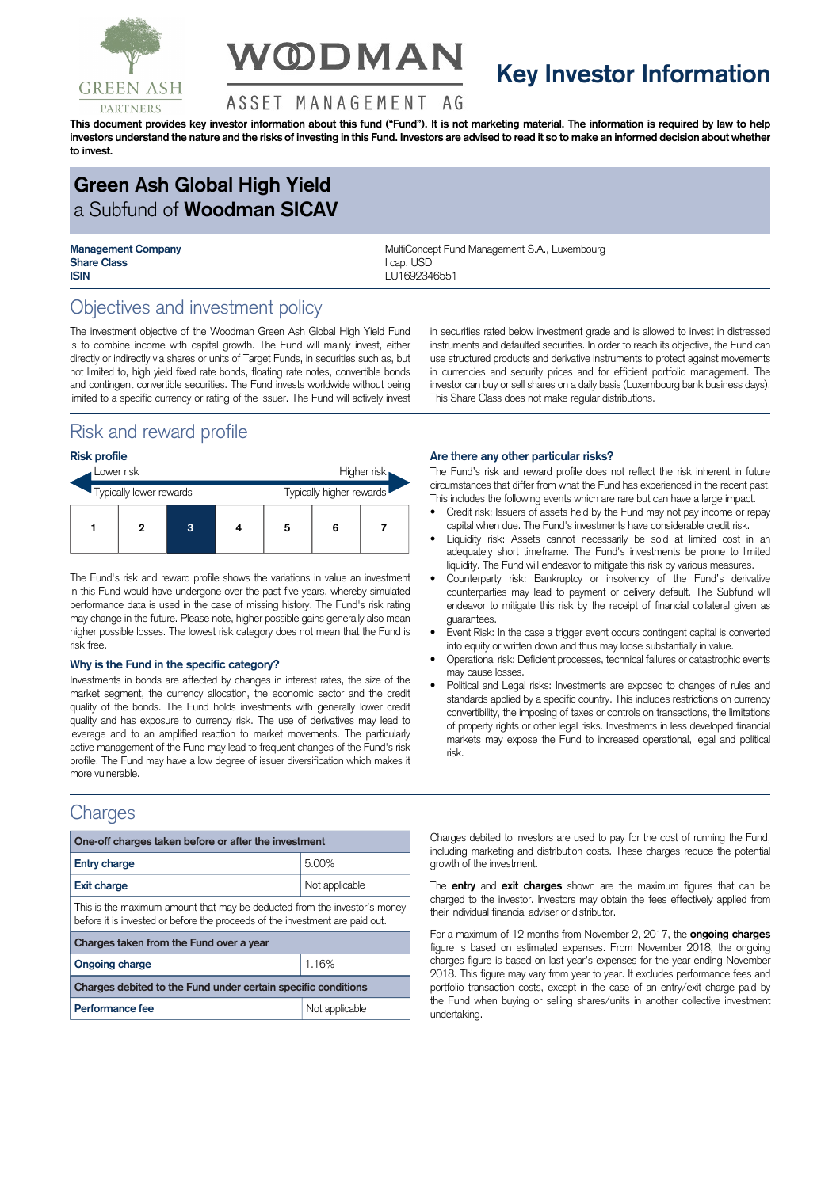

# **V@DMAN**

## **Key Investor Information**

#### ASSET MANAGEMENT AG

This document provides key investor information about this fund ("Fund"). It is not marketing material. The information is required by law to help investors understand the nature and the risks of investing in this Fund. Investors are advised to read it so to make an informed decision about whether **to invest.**

## **Green Ash Global High Yield** a Subfund of **Woodman SICAV**

**Share Class** I can IISD **ISIN** LU1692346551

**Management Company MultiConcept Fund Management S.A., Luxembourg** 

## Objectives and investment policy

The investment objective of the Woodman Green Ash Global High Yield Fund is to combine income with capital growth. The Fund will mainly invest, either directly or indirectly via shares or units of Target Funds, in securities such as, but not limited to, high yield fixed rate bonds, floating rate notes, convertible bonds and contingent convertible securities. The Fund invests worldwide without being limited to a specific currency or rating of the issuer. The Fund will actively invest

## Risk and reward profile

#### **Risk profile**

| Lower risk              |  |   |                          | Higher risk |   |  |
|-------------------------|--|---|--------------------------|-------------|---|--|
| Typically lower rewards |  |   | Typically higher rewards |             |   |  |
|                         |  | 3 |                          | 5           | 6 |  |

The Fund's risk and reward profile shows the variations in value an investment in this Fund would have undergone over the past five years, whereby simulated performance data is used in the case of missing history. The Fund's risk rating may change in the future. Please note, higher possible gains generally also mean higher possible losses. The lowest risk category does not mean that the Fund is risk free.

#### **Why is the Fund in the specific category?**

Investments in bonds are affected by changes in interest rates, the size of the market segment, the currency allocation, the economic sector and the credit quality of the bonds. The Fund holds investments with generally lower credit quality and has exposure to currency risk. The use of derivatives may lead to leverage and to an amplified reaction to market movements. The particularly active management of the Fund may lead to frequent changes of the Fund's risk profile. The Fund may have a low degree of issuer diversification which makes it more vulnerable.

### **Charges**

| One-off charges taken before or after the investment                                                                                                      |                |  |  |  |
|-----------------------------------------------------------------------------------------------------------------------------------------------------------|----------------|--|--|--|
| <b>Entry charge</b>                                                                                                                                       | 5.00%          |  |  |  |
| <b>Exit charge</b>                                                                                                                                        | Not applicable |  |  |  |
| This is the maximum amount that may be deducted from the investor's money<br>before it is invested or before the proceeds of the investment are paid out. |                |  |  |  |
| Charges taken from the Fund over a year                                                                                                                   |                |  |  |  |
| <b>Ongoing charge</b>                                                                                                                                     | 1.16%          |  |  |  |
| Charges debited to the Fund under certain specific conditions                                                                                             |                |  |  |  |
| Performance fee                                                                                                                                           | Not applicable |  |  |  |

in securities rated below investment grade and is allowed to invest in distressed instruments and defaulted securities. In order to reach its objective, the Fund can use structured products and derivative instruments to protect against movements in currencies and security prices and for efficient portfolio management. The investor can buy or sell shares on a daily basis (Luxembourg bank business days). This Share Class does not make regular distributions.

#### **Are there any other particular risks?**

The Fund's risk and reward profile does not reflect the risk inherent in future circumstances that differ from what the Fund has experienced in the recent past. This includes the following events which are rare but can have a large impact.

- Credit risk: Issuers of assets held by the Fund may not pay income or repay capital when due. The Fund's investments have considerable credit risk.
- Liquidity risk: Assets cannot necessarily be sold at limited cost in an adequately short timeframe. The Fund's investments be prone to limited liquidity. The Fund will endeavor to mitigate this risk by various measures.
- Counterparty risk: Bankruptcy or insolvency of the Fund's derivative counterparties may lead to payment or delivery default. The Subfund will endeavor to mitigate this risk by the receipt of financial collateral given as guarantees.
- Event Risk: In the case a trigger event occurs contingent capital is converted into equity or written down and thus may loose substantially in value.
- Operational risk: Deficient processes, technical failures or catastrophic events may cause losses.
- Political and Legal risks: Investments are exposed to changes of rules and standards applied by a specific country. This includes restrictions on currency convertibility, the imposing of taxes or controls on transactions, the limitations of property rights or other legal risks. Investments in less developed financial markets may expose the Fund to increased operational, legal and political risk.

Charges debited to investors are used to pay for the cost of running the Fund, including marketing and distribution costs. These charges reduce the potential growth of the investment.

The **entry** and **exit charges** shown are the maximum figures that can be charged to the investor. Investors may obtain the fees effectively applied from their individual financial adviser or distributor.

For a maximum of 12 months from November 2, 2017, the **ongoing charges** figure is based on estimated expenses. From November 2018, the ongoing charges figure is based on last year's expenses for the year ending November 2018. This figure may vary from year to year. It excludes performance fees and portfolio transaction costs, except in the case of an entry/exit charge paid by the Fund when buying or selling shares/units in another collective investment undertaking.